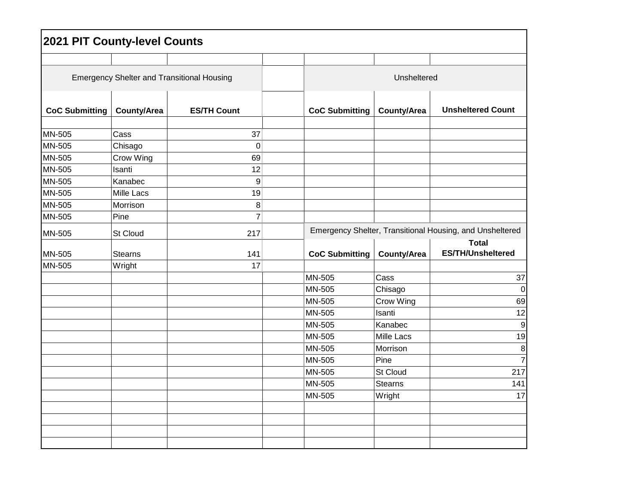| <b>2021 PIT County-level Counts</b>               |                     |                    |  |                                                          |                    |                                          |  |
|---------------------------------------------------|---------------------|--------------------|--|----------------------------------------------------------|--------------------|------------------------------------------|--|
|                                                   |                     |                    |  |                                                          |                    |                                          |  |
| <b>Emergency Shelter and Transitional Housing</b> |                     |                    |  | Unsheltered                                              |                    |                                          |  |
| <b>CoC Submitting</b>                             | <b>County/Area</b>  | <b>ES/TH Count</b> |  | <b>CoC Submitting</b>                                    | County/Area        | <b>Unsheltered Count</b>                 |  |
| MN-505                                            | Cass                | 37                 |  |                                                          |                    |                                          |  |
| MN-505                                            |                     | $\mathbf 0$        |  |                                                          |                    |                                          |  |
|                                                   | Chisago             | 69                 |  |                                                          |                    |                                          |  |
| MN-505<br>MN-505                                  | Crow Wing<br>Isanti | 12                 |  |                                                          |                    |                                          |  |
| MN-505                                            | Kanabec             | 9                  |  |                                                          |                    |                                          |  |
| MN-505                                            | <b>Mille Lacs</b>   | 19                 |  |                                                          |                    |                                          |  |
| MN-505                                            | Morrison            | 8                  |  |                                                          |                    |                                          |  |
| MN-505                                            | Pine                | $\overline{7}$     |  |                                                          |                    |                                          |  |
|                                                   |                     |                    |  |                                                          |                    |                                          |  |
| MN-505                                            | St Cloud            | 217                |  | Emergency Shelter, Transitional Housing, and Unsheltered |                    |                                          |  |
| MN-505                                            | <b>Stearns</b>      | 141                |  | <b>CoC Submitting</b>                                    | <b>County/Area</b> | <b>Total</b><br><b>ES/TH/Unsheltered</b> |  |
| MN-505                                            | Wright              | 17                 |  |                                                          |                    |                                          |  |
|                                                   |                     |                    |  | MN-505                                                   | Cass               | 37                                       |  |
|                                                   |                     |                    |  | MN-505                                                   | Chisago            | $\boldsymbol{0}$                         |  |
|                                                   |                     |                    |  | MN-505                                                   | Crow Wing          | 69                                       |  |
|                                                   |                     |                    |  | MN-505                                                   | Isanti             | 12                                       |  |
|                                                   |                     |                    |  | MN-505                                                   | Kanabec            | $\boldsymbol{9}$                         |  |
|                                                   |                     |                    |  | MN-505                                                   | <b>Mille Lacs</b>  | 19                                       |  |
|                                                   |                     |                    |  | MN-505                                                   | Morrison           | 8                                        |  |
|                                                   |                     |                    |  | MN-505                                                   | Pine               | $\overline{7}$                           |  |
|                                                   |                     |                    |  | MN-505                                                   | St Cloud           | 217                                      |  |
|                                                   |                     |                    |  | MN-505                                                   | <b>Stearns</b>     | 141                                      |  |
|                                                   |                     |                    |  | MN-505                                                   | Wright             | 17                                       |  |
|                                                   |                     |                    |  |                                                          |                    |                                          |  |
|                                                   |                     |                    |  |                                                          |                    |                                          |  |
|                                                   |                     |                    |  |                                                          |                    |                                          |  |
|                                                   |                     |                    |  |                                                          |                    |                                          |  |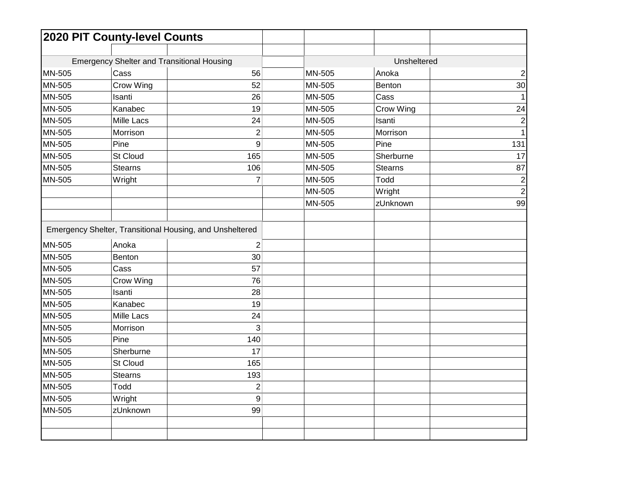|               | 2020 PIT County-level Counts                             |                |        |                |                         |
|---------------|----------------------------------------------------------|----------------|--------|----------------|-------------------------|
|               |                                                          |                |        |                |                         |
|               | <b>Emergency Shelter and Transitional Housing</b>        |                |        | Unsheltered    |                         |
| MN-505        | Cass                                                     | 56             | MN-505 | Anoka          | $\boldsymbol{2}$        |
| MN-505        | Crow Wing                                                | 52             | MN-505 | Benton         | 30                      |
| <b>MN-505</b> | Isanti                                                   | 26             | MN-505 | Cass           | $\mathbf{1}$            |
| MN-505        | Kanabec                                                  | 19             | MN-505 | Crow Wing      | 24                      |
| MN-505        | <b>Mille Lacs</b>                                        | 24             | MN-505 | Isanti         | $\boldsymbol{2}$        |
| <b>MN-505</b> | Morrison                                                 | $\overline{2}$ | MN-505 | Morrison       | $\mathbf{1}$            |
| MN-505        | Pine                                                     | 9              | MN-505 | Pine           | 131                     |
| MN-505        | St Cloud                                                 | 165            | MN-505 | Sherburne      | 17                      |
| MN-505        | <b>Stearns</b>                                           | 106            | MN-505 | <b>Stearns</b> | 87                      |
| MN-505        | Wright                                                   | 7              | MN-505 | Todd           | $\overline{\mathbf{c}}$ |
|               |                                                          |                | MN-505 | Wright         | $\overline{2}$          |
|               |                                                          |                | MN-505 | zUnknown       | 99                      |
|               |                                                          |                |        |                |                         |
|               | Emergency Shelter, Transitional Housing, and Unsheltered |                |        |                |                         |
| MN-505        | Anoka                                                    | 2              |        |                |                         |
| MN-505        | Benton                                                   | 30             |        |                |                         |
| MN-505        | Cass                                                     | 57             |        |                |                         |
| MN-505        | Crow Wing                                                | 76             |        |                |                         |
| MN-505        | Isanti                                                   | 28             |        |                |                         |
| MN-505        | Kanabec                                                  | 19             |        |                |                         |
| MN-505        | <b>Mille Lacs</b>                                        | 24             |        |                |                         |
| MN-505        | Morrison                                                 | 3              |        |                |                         |
| MN-505        | Pine                                                     | 140            |        |                |                         |
| MN-505        | Sherburne                                                | 17             |        |                |                         |
| MN-505        | St Cloud                                                 | 165            |        |                |                         |
| MN-505        | <b>Stearns</b>                                           | 193            |        |                |                         |
| MN-505        | Todd                                                     | $\overline{c}$ |        |                |                         |
| MN-505        | Wright                                                   | 9              |        |                |                         |
| MN-505        | zUnknown                                                 | 99             |        |                |                         |
|               |                                                          |                |        |                |                         |
|               |                                                          |                |        |                |                         |